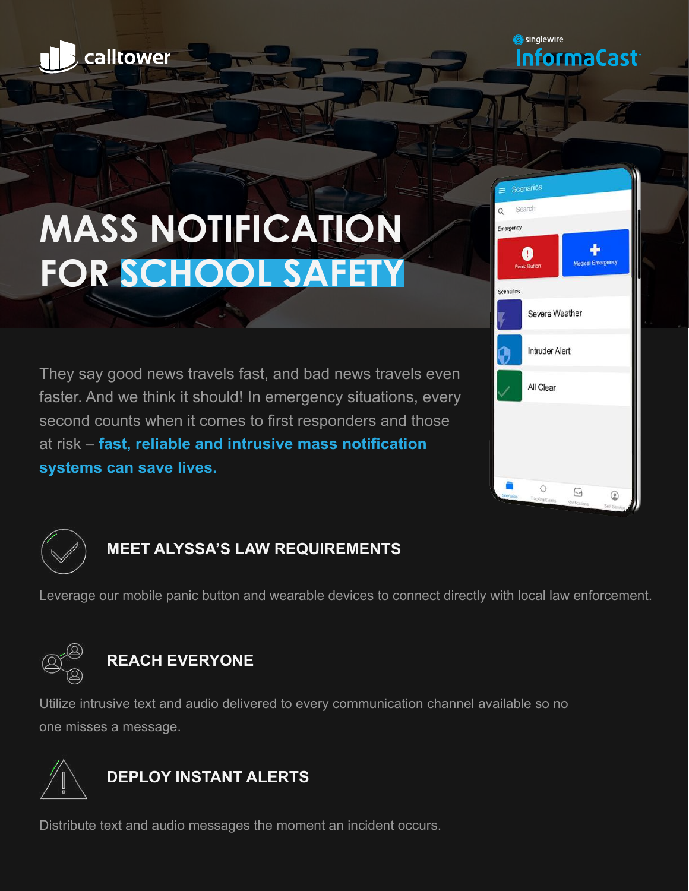

**S** singlewire InformaCast

# **MASS NOTIFICATION FOR SCHOOL SAFETY**

They say good news travels fast, and bad news travels even faster. And we think it should! In emergency situations, every second counts when it comes to first responders and those at risk – **fast, reliable and intrusive mass notification systems can save lives.** 





## **MEET ALYSSA'S LAW REQUIREMENTS**

Leverage our mobile panic button and wearable devices to connect directly with local law enforcement.



# **REACH EVERYONE**

Utilize intrusive text and audio delivered to every communication channel available so no one misses a message.



Distribute text and audio messages the moment an incident occurs.